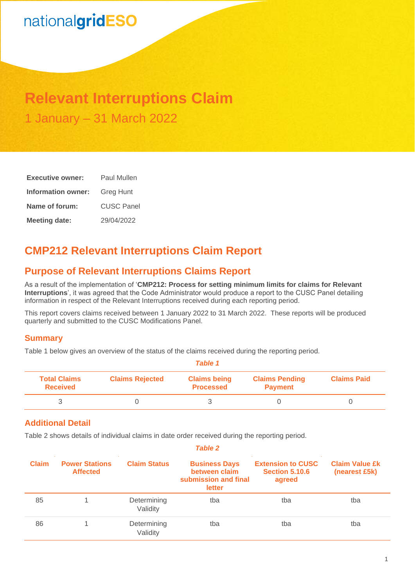# nationalgridESO

### **Relevant Interruptions Claim** 1 January – 31 March 2022

| <b>Executive owner:</b> | Paul Mullen      |  |  |
|-------------------------|------------------|--|--|
| Information owner:      | <b>Greg Hunt</b> |  |  |
| Name of forum:          | CUSC Panel       |  |  |
| <b>Meeting date:</b>    | 29/04/2022       |  |  |

### **CMP212 Relevant Interruptions Claim Report**

### **Purpose of Relevant Interruptions Claims Report**

As a result of the implementation of '**CMP212: Process for setting minimum limits for claims for Relevant Interruptions**', it was agreed that the Code Administrator would produce a report to the CUSC Panel detailing information in respect of the Relevant Interruptions received during each reporting period.

This report covers claims received between 1 January 2022 to 31 March 2022. These reports will be produced quarterly and submitted to the CUSC Modifications Panel.

#### **Summary**

Table 1 below gives an overview of the status of the claims received during the reporting period.

|                                        | <b>Table 1</b>         |                                         |                                         |                    |  |
|----------------------------------------|------------------------|-----------------------------------------|-----------------------------------------|--------------------|--|
| <b>Total Claims</b><br><b>Received</b> | <b>Claims Rejected</b> | <b>Claims being</b><br><b>Processed</b> | <b>Claims Pending</b><br><b>Payment</b> | <b>Claims Paid</b> |  |
|                                        |                        |                                         |                                         |                    |  |

#### **Additional Detail**

Table 2 shows details of individual claims in date order received during the reporting period.

|              | <b>Table 2</b>                           |                         |                                                                         |                                                             |                                        |
|--------------|------------------------------------------|-------------------------|-------------------------------------------------------------------------|-------------------------------------------------------------|----------------------------------------|
| <b>Claim</b> | <b>Power Stations</b><br><b>Affected</b> | <b>Claim Status</b>     | <b>Business Days</b><br>between claim<br>submission and final<br>letter | <b>Extension to CUSC</b><br><b>Section 5.10.6</b><br>agreed | <b>Claim Value £k</b><br>(nearest £5k) |
| 85           |                                          | Determining<br>Validity | tba                                                                     | tba                                                         | tba                                    |
| 86           |                                          | Determining<br>Validity | tba                                                                     | tba                                                         | tba                                    |